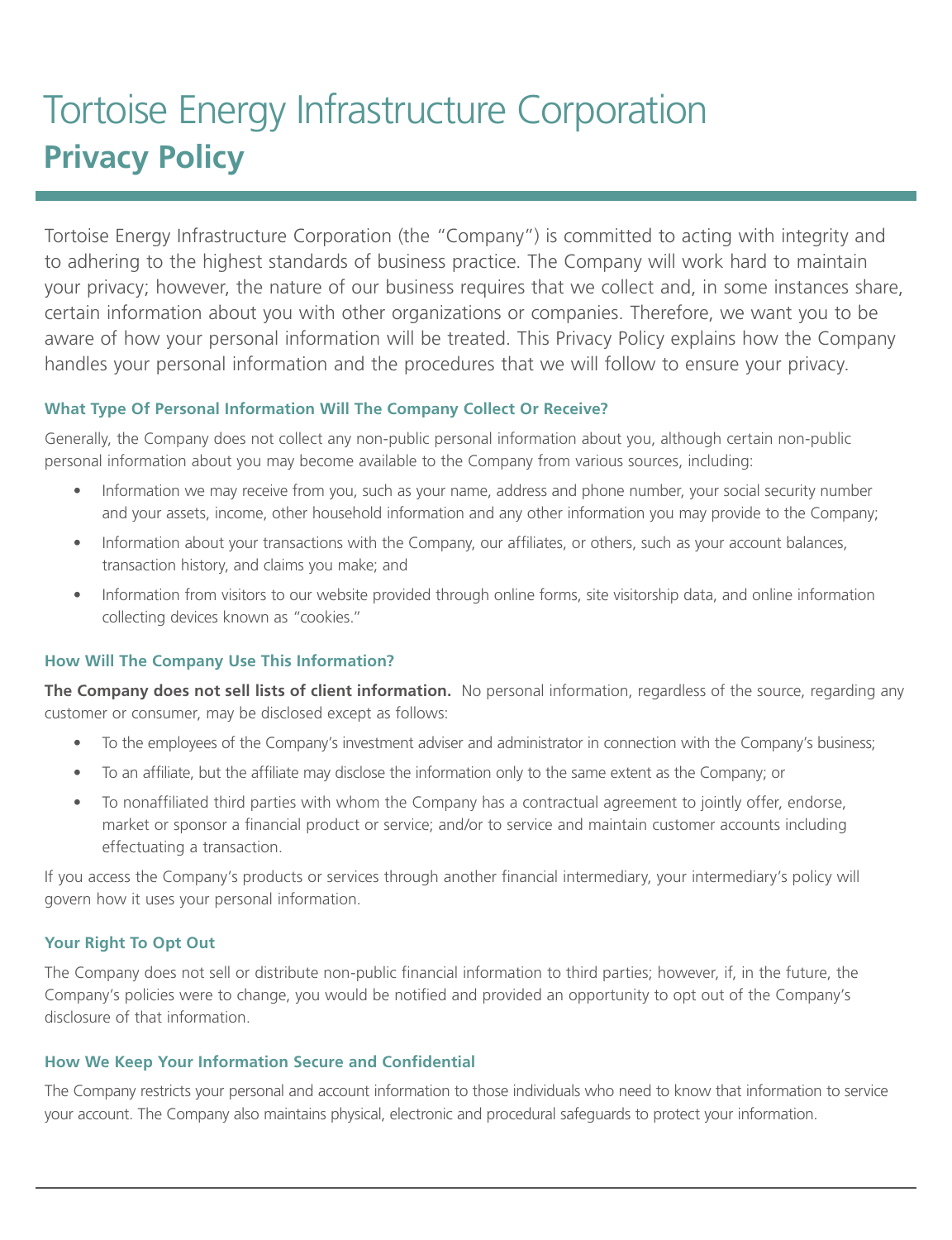# Tortoise Energy Infrastructure Corporation **Privacy Policy**

Tortoise Energy Infrastructure Corporation (the "Company") is committed to acting with integrity and to adhering to the highest standards of business practice. The Company will work hard to maintain your privacy; however, the nature of our business requires that we collect and, in some instances share, certain information about you with other organizations or companies. Therefore, we want you to be aware of how your personal information will be treated. This Privacy Policy explains how the Company handles your personal information and the procedures that we will follow to ensure your privacy.

## **What Type Of Personal Information Will The Company Collect Or Receive?**

Generally, the Company does not collect any non-public personal information about you, although certain non-public personal information about you may become available to the Company from various sources, including:

- Information we may receive from you, such as your name, address and phone number, your social security number and your assets, income, other household information and any other information you may provide to the Company;
- Information about your transactions with the Company, our affiliates, or others, such as your account balances, transaction history, and claims you make; and
- Information from visitors to our website provided through online forms, site visitorship data, and online information collecting devices known as "cookies."

### **How Will The Company Use This Information?**

**The Company does not sell lists of client information.** No personal information, regardless of the source, regarding any customer or consumer, may be disclosed except as follows:

- To the employees of the Company's investment adviser and administrator in connection with the Company's business;
- To an affiliate, but the affiliate may disclose the information only to the same extent as the Company; or
- To nonaffiliated third parties with whom the Company has a contractual agreement to jointly offer, endorse, market or sponsor a financial product or service; and/or to service and maintain customer accounts including effectuating a transaction.

If you access the Company's products or services through another financial intermediary, your intermediary's policy will govern how it uses your personal information.

### **Your Right To Opt Out**

The Company does not sell or distribute non-public financial information to third parties; however, if, in the future, the Company's policies were to change, you would be notified and provided an opportunity to opt out of the Company's disclosure of that information.

### **How We Keep Your Information Secure and Confidential**

The Company restricts your personal and account information to those individuals who need to know that information to service your account. The Company also maintains physical, electronic and procedural safeguards to protect your information.